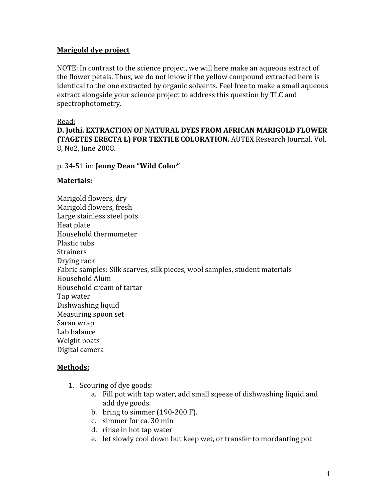# **Marigold
dye
project**

NOTE: In contrast to the science project, we will here make an aqueous extract of the
flower
petals.
Thus,
we
do
not
know
if
the
yellow
compound
extracted
here
is identical to the one extracted by organic solvents. Feel free to make a small aqueous extract alongside your science project to address this question by TLC and spectrophotometry.

### Read:

**D.
Jothi.
EXTRACTION
OF
NATURAL
DYES
FROM
AFRICAN
MARIGOLD
FLOWER (TAGETES ERECTA L) FOR TEXTILE COLORATION.** AUTEX Research Journal, Vol. 8,
No2,
June
2008.

## p.
34‐51
in: **Jenny
Dean
"Wild
Color"**

## **Materials:**

Marigold
flowers,
dry Marigold
flowers,
fresh Large
stainless
steel
pots Heat
plate Household
thermometer Plastic
tubs **Strainers** Drying
rack Fabric
samples:
Silk
scarves,
silk
pieces,
wool
samples,
student
materials Household
Alum Household
cream
of
tartar Tap
water Dishwashing
liquid Measuring
spoon
set Saran
wrap Lab
balance Weight
boats Digital
camera

## **Methods:**

- 1. Scouring
of
dye
goods:
	- a. Fill
	pot
	with
	tap
	water,
	add
	small
	sqeeze
	of
	dishwashing
	liquid
	and add
	dye
	goods.
	- b. bring
	to
	simmer
	(190‐200
	F).
	- c. simmer
	for
	ca.
	30
	min
	- d. rinse
	in
	hot
	tap
	water
	- e. let
	slowly
	cool
	down
	but
	keep
	wet,
	or
	transfer
	to
	mordanting
	pot